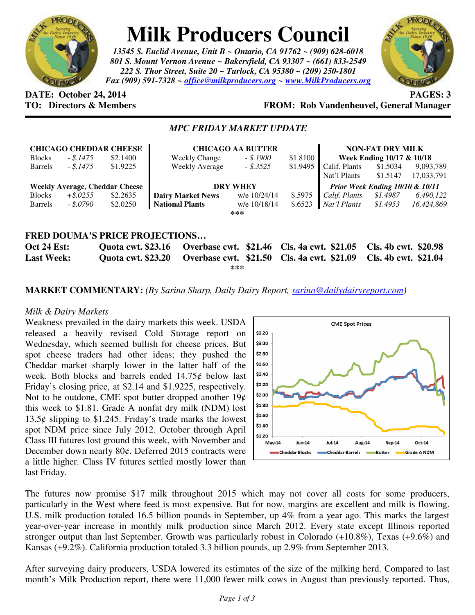

# **Milk Producers Council**

*13545 S. Euclid Avenue, Unit B ~ Ontario, CA 91762 ~ (909) 628-6018 801 S. Mount Vernon Avenue ~ Bakersfield, CA 93307 ~ (661) 833-2549 222 S. Thor Street, Suite 20 ~ Turlock, CA 95380 ~ (209) 250-1801 Fax (909) 591-7328 ~ office@milkproducers.org ~ www.MilkProducers.org*



# **DATE:** October 24, 2014 **PAGES: 3**

# **TO: Directors & Members FROM: Rob Vandenheuvel, General Manager**

## *MPC FRIDAY MARKET UPDATE*

|                                       | <b>CHICAGO CHEDDAR CHEESE</b> |          | <b>CHICAGO AA BUTTER</b> |              |                          | <b>NON-FAT DRY MILK</b>            |          |            |
|---------------------------------------|-------------------------------|----------|--------------------------|--------------|--------------------------|------------------------------------|----------|------------|
| <b>Blocks</b>                         | - \$.1475                     | \$2.1400 | <b>Weekly Change</b>     | - \$.1900    | \$1.8100                 | Week Ending 10/17 & 10/18          |          |            |
| <b>Barrels</b>                        | - \$.1475                     | \$1.9225 | Weekly Average           | $-$ \$.3525  | $$1.9495$ $\blacksquare$ | Calif. Plants                      | \$1.5034 | 9,093,789  |
|                                       |                               |          |                          |              |                          | Nat'l Plants                       | \$1.5147 | 17,033,791 |
| <b>Weekly Average, Cheddar Cheese</b> |                               |          | <b>DRY WHEY</b>          |              |                          | Prior Week Ending $10/10 \& 10/11$ |          |            |
| <b>Blocks</b>                         | $+$ \$.0255                   | \$2.2635 | <b>Dairy Market News</b> | w/e 10/24/14 | \$.5975                  | Calif. Plants                      | \$1.4987 | 6,490,122  |
| <b>Barrels</b>                        | - \$.0790                     | \$2.0250 | <b>National Plants</b>   | w/e 10/18/14 | \$.6523                  | Nat'l Plants                       | \$1.4953 | 16.424.869 |
| ***                                   |                               |          |                          |              |                          |                                    |          |            |
|                                       |                               |          |                          |              |                          |                                    |          |            |
| <b>FRED DOUMA'S PRICE PROJECTIONS</b> |                               |          |                          |              |                          |                                    |          |            |
|                                       |                               |          |                          |              |                          |                                    |          |            |

**Oct 24 Est: Quota cwt. \$23.16 Overbase cwt. \$21.46 Cls. 4a cwt. \$21.05 Cls. 4b cwt. \$20.98 Last Week: Quota cwt. \$23.20 Overbase cwt. \$21.50 Cls. 4a cwt. \$21.09 Cls. 4b cwt. \$21.04 \*\*\*** 

### **MARKET COMMENTARY:** *(By Sarina Sharp, Daily Dairy Report, sarina@dailydairyreport.com)*

#### *Milk & Dairy Markets*

Weakness prevailed in the dairy markets this week. USDA released a heavily revised Cold Storage report on Wednesday, which seemed bullish for cheese prices. But spot cheese traders had other ideas; they pushed the Cheddar market sharply lower in the latter half of the week. Both blocks and barrels ended 14.75¢ below last Friday's closing price, at \$2.14 and \$1.9225, respectively. Not to be outdone, CME spot butter dropped another  $19¢$ this week to \$1.81. Grade A nonfat dry milk (NDM) lost 13.5 $\phi$  slipping to \$1.245. Friday's trade marks the lowest spot NDM price since July 2012. October through April Class III futures lost ground this week, with November and December down nearly  $80¢$ . Deferred 2015 contracts were a little higher. Class IV futures settled mostly lower than last Friday.



The futures now promise \$17 milk throughout 2015 which may not cover all costs for some producers, particularly in the West where feed is most expensive. But for now, margins are excellent and milk is flowing. U.S. milk production totaled 16.5 billion pounds in September, up 4% from a year ago. This marks the largest year-over-year increase in monthly milk production since March 2012. Every state except Illinois reported stronger output than last September. Growth was particularly robust in Colorado (+10.8%), Texas (+9.6%) and Kansas (+9.2%). California production totaled 3.3 billion pounds, up 2.9% from September 2013.

After surveying dairy producers, USDA lowered its estimates of the size of the milking herd. Compared to last month's Milk Production report, there were 11,000 fewer milk cows in August than previously reported. Thus,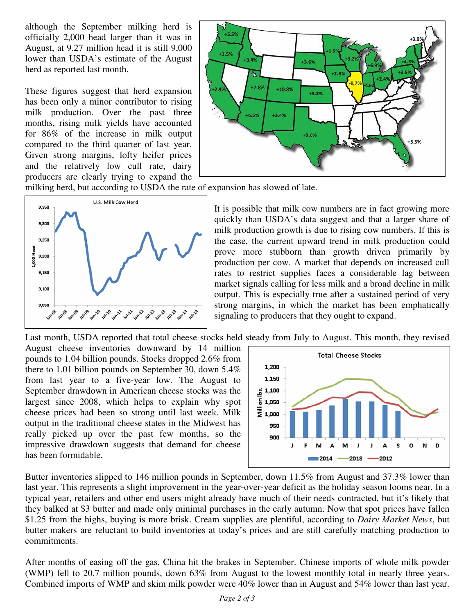although the September milking herd is officially 2,000 head larger than it was in August, at 9.27 million head it is still 9,000 lower than USDA's estimate of the August herd as reported last month.

These figures suggest that herd expansion has been only a minor contributor to rising milk production. Over the past three months, rising milk yields have accounted for 86% of the increase in milk output compared to the third quarter of last year. Given strong margins, lofty heifer prices and the relatively low cull rate, dairy producers are clearly trying to expand the



milking herd, but according to USDA the rate of expansion has slowed of late.



It is possible that milk cow numbers are in fact growing more quickly than USDA's data suggest and that a larger share of milk production growth is due to rising cow numbers. If this is the case, the current upward trend in milk production could prove more stubborn than growth driven primarily by production per cow. A market that depends on increased cull rates to restrict supplies faces a considerable lag between market signals calling for less milk and a broad decline in milk output. This is especially true after a sustained period of very strong margins, in which the market has been emphatically signaling to producers that they ought to expand.

Last month, USDA reported that total cheese stocks held steady from July to August. This month, they revised

August cheese inventories downward by 14 million pounds to 1.04 billion pounds. Stocks dropped 2.6% from there to 1.01 billion pounds on September 30, down 5.4% from last year to a five-year low. The August to September drawdown in American cheese stocks was the largest since 2008, which helps to explain why spot cheese prices had been so strong until last week. Milk output in the traditional cheese states in the Midwest has really picked up over the past few months, so the impressive drawdown suggests that demand for cheese has been formidable.



Butter inventories slipped to 146 million pounds in September, down 11.5% from August and 37.3% lower than last year. This represents a slight improvement in the year-over-year deficit as the holiday season looms near. In a typical year, retailers and other end users might already have much of their needs contracted, but it's likely that they balked at \$3 butter and made only minimal purchases in the early autumn. Now that spot prices have fallen \$1.25 from the highs, buying is more brisk. Cream supplies are plentiful, according to *Dairy Market News*, but butter makers are reluctant to build inventories at today's prices and are still carefully matching production to commitments.

After months of easing off the gas, China hit the brakes in September. Chinese imports of whole milk powder (WMP) fell to 20.7 million pounds, down 63% from August to the lowest monthly total in nearly three years. Combined imports of WMP and skim milk powder were 40% lower than in August and 54% lower than last year.